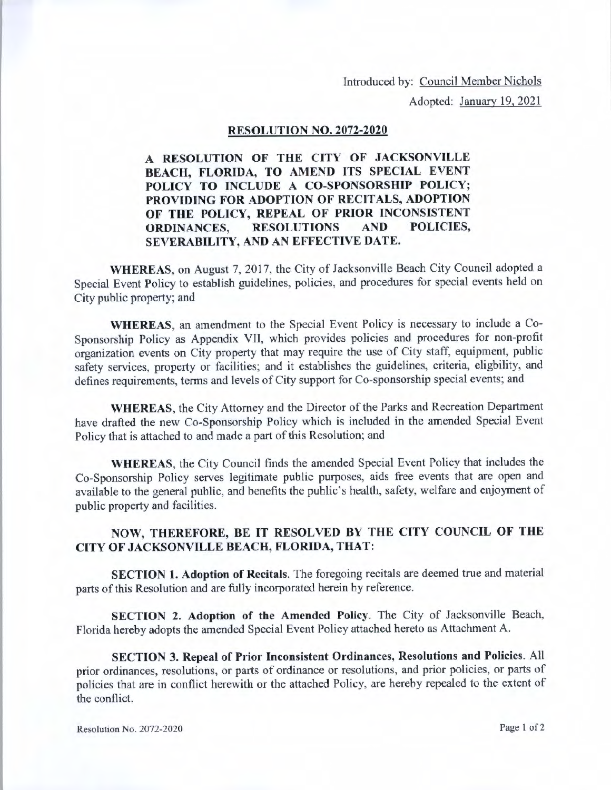Introduced by: Council Member Nichols

Adopted: January 19, 2021

## **RESOLUTION NO. 2072-2020**

**A RESOLUTION OF THE CITY OF JACKSONVILLE BEACH, FLORIDA, TO AMEND ITS SPECIAL EVENT POLICY TO INCLUDE A CO-SPONSORSHIP POLICY; PROVIDING FOR ADOPTION OF RECITALS, ADOPTION OF THE POLICY, REPEAL OF PRIOR INCONSISTENT ORDINANCES, RESOLUTIONS AND POLICIES, SEVERABILITY, AND AN EFFECTIVE DATE.** 

**WHEREAS,** on August 7, 2017, the City of Jacksonville Beach City Council adopted a Special Event Policy to establish guidelines, policies, and procedures for special events held on City public property; and

**WHEREAS,** an amendment to the Special Event Policy is necessary to include a Co-Sponsorship Policy as Appendix VII, which provides policies and procedures for non-profit organization events on City property that may require the use of City staff, equipment, public safety services, property or facilities; and it establishes the guidelines, criteria, eligbility, and defines requirements, terms and levels of City support for Co-sponsorship special events; and

**WHEREAS,** the City Attorney and the Director of the Parks and Recreation Department have drafted the new Co-Sponsorship Policy which is included in the amended Special Event Policy that is attached to and made a part of this Resolution; and

**WHEREAS,** the City Council finds the amended Special Event Policy that includes the Co-Sponsorship Policy serves legitimate public purposes, aids free events that are open and available to the general public, and benefits the public's health, safety, welfare and enjoyment of public property and facilities.

## **NOW, THEREFORE, BE IT RESOLVED BY THE CITY COUNCIL OF THE CITY OF JACKSONVILLE BEACH, FLORIDA, THAT:**

**SECTION 1. Adoption of Recitals.** The foregoing recitals are deemed true and material parts of this Resolution and are fully incorporated herein by reference.

**SECTION 2. Adoption of the Amended Policy.** The City of Jacksonville Beach, Florida hereby adopts the amended Special Event Policy attached hereto as Attachment A.

**SECTION 3. Repeal of Prior Inconsistent Ordinances, Resolutions and Policies.** All prior ordinances, resolutions, or parts of ordinance or resolutions, and prior policies, or parts of policies that are in conflict herewith or the attached Policy, are hereby repealed to the extent of the conflict.